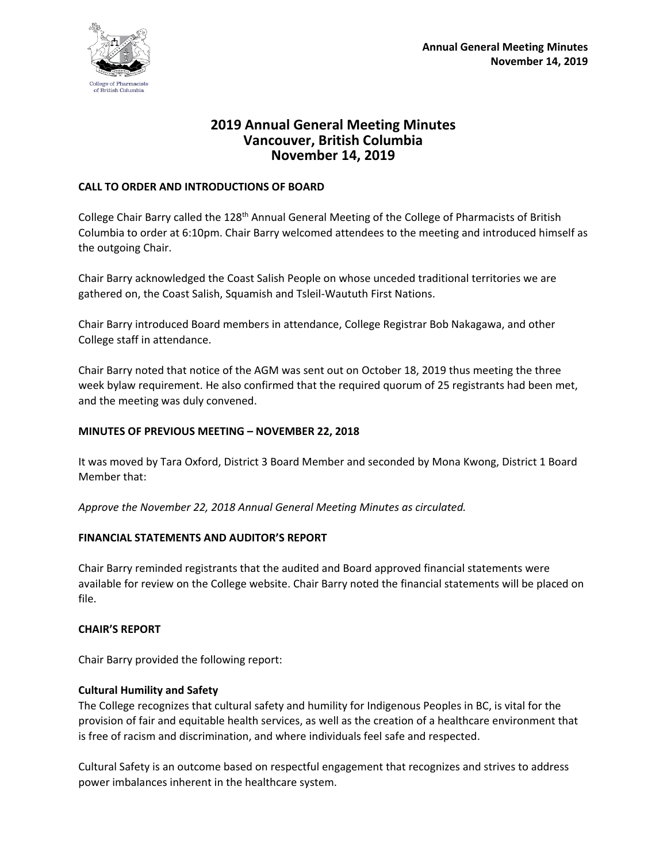

# **2019 Annual General Meeting Minutes Vancouver, British Columbia November 14, 2019**

### **CALL TO ORDER AND INTRODUCTIONS OF BOARD**

College Chair Barry called the 128<sup>th</sup> Annual General Meeting of the College of Pharmacists of British Columbia to order at 6:10pm. Chair Barry welcomed attendees to the meeting and introduced himself as the outgoing Chair.

Chair Barry acknowledged the Coast Salish People on whose unceded traditional territories we are gathered on, the Coast Salish, Squamish and Tsleil-Waututh First Nations.

Chair Barry introduced Board members in attendance, College Registrar Bob Nakagawa, and other College staff in attendance.

Chair Barry noted that notice of the AGM was sent out on October 18, 2019 thus meeting the three week bylaw requirement. He also confirmed that the required quorum of 25 registrants had been met, and the meeting was duly convened.

### **MINUTES OF PREVIOUS MEETING – NOVEMBER 22, 2018**

It was moved by Tara Oxford, District 3 Board Member and seconded by Mona Kwong, District 1 Board Member that:

*Approve the November 22, 2018 Annual General Meeting Minutes as circulated.*

### **FINANCIAL STATEMENTS AND AUDITOR'S REPORT**

Chair Barry reminded registrants that the audited and Board approved financial statements were available for review on the College website. Chair Barry noted the financial statements will be placed on file.

### **CHAIR'S REPORT**

Chair Barry provided the following report:

### **Cultural Humility and Safety**

The College recognizes that cultural safety and humility for Indigenous Peoples in BC, is vital for the provision of fair and equitable health services, as well as the creation of a healthcare environment that is free of racism and discrimination, and where individuals feel safe and respected.

Cultural Safety is an outcome based on respectful engagement that recognizes and strives to address power imbalances inherent in the healthcare system.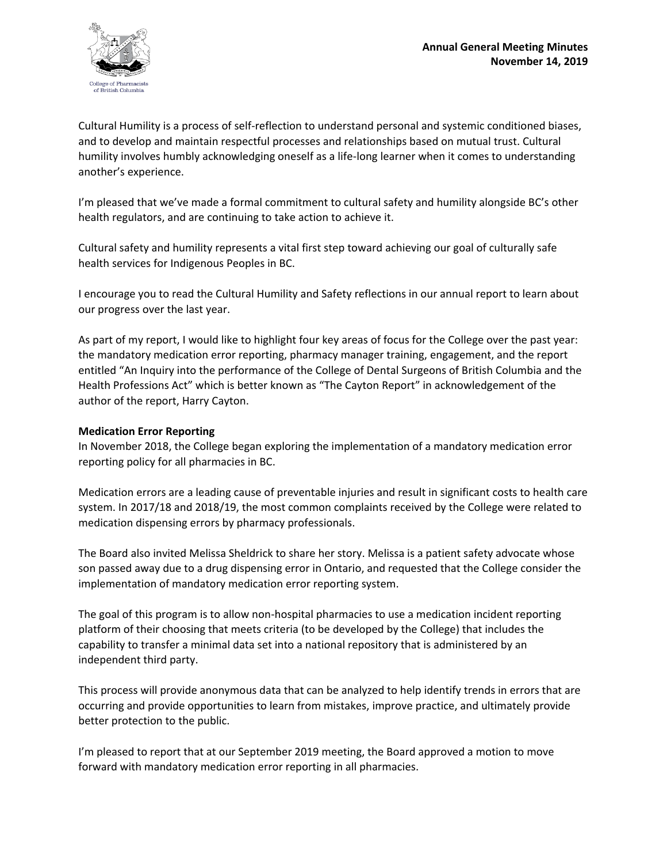

Cultural Humility is a process of self-reflection to understand personal and systemic conditioned biases, and to develop and maintain respectful processes and relationships based on mutual trust. Cultural humility involves humbly acknowledging oneself as a life-long learner when it comes to understanding another's experience.

I'm pleased that we've made a formal commitment to cultural safety and humility alongside BC's other health regulators, and are continuing to take action to achieve it.

Cultural safety and humility represents a vital first step toward achieving our goal of culturally safe health services for Indigenous Peoples in BC.

I encourage you to read the Cultural Humility and Safety reflections in our annual report to learn about our progress over the last year.

As part of my report, I would like to highlight four key areas of focus for the College over the past year: the mandatory medication error reporting, pharmacy manager training, engagement, and the report entitled "An Inquiry into the performance of the College of Dental Surgeons of British Columbia and the Health Professions Act" which is better known as "The Cayton Report" in acknowledgement of the author of the report, Harry Cayton.

### **Medication Error Reporting**

In November 2018, the College began exploring the implementation of a mandatory medication error reporting policy for all pharmacies in BC.

Medication errors are a leading cause of preventable injuries and result in significant costs to health care system. In 2017/18 and 2018/19, the most common complaints received by the College were related to medication dispensing errors by pharmacy professionals.

The Board also invited Melissa Sheldrick to share her story. Melissa is a patient safety advocate whose son passed away due to a drug dispensing error in Ontario, and requested that the College consider the implementation of mandatory medication error reporting system.

The goal of this program is to allow non-hospital pharmacies to use a medication incident reporting platform of their choosing that meets criteria (to be developed by the College) that includes the capability to transfer a minimal data set into a national repository that is administered by an independent third party.

This process will provide anonymous data that can be analyzed to help identify trends in errors that are occurring and provide opportunities to learn from mistakes, improve practice, and ultimately provide better protection to the public.

I'm pleased to report that at our September 2019 meeting, the Board approved a motion to move forward with mandatory medication error reporting in all pharmacies.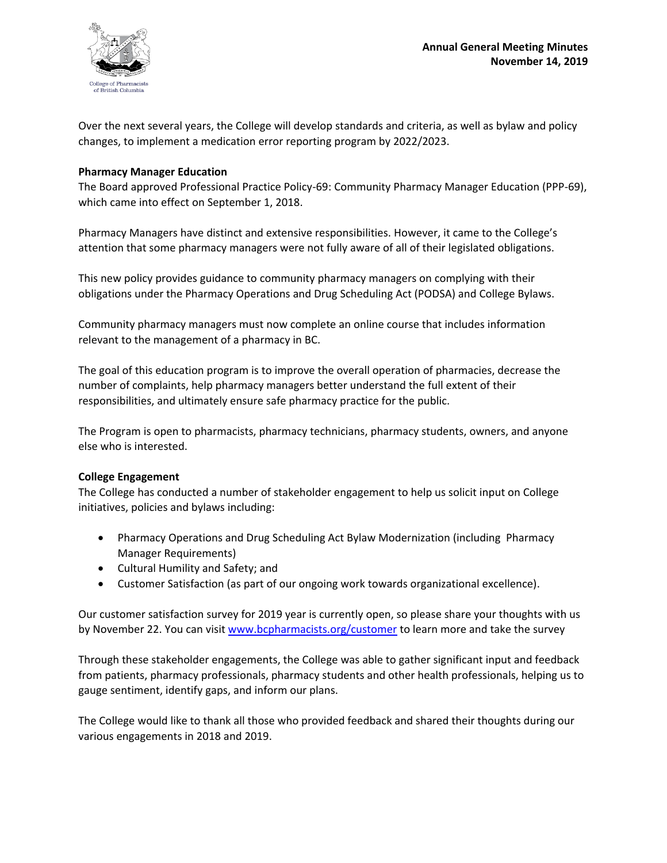

Over the next several years, the College will develop standards and criteria, as well as bylaw and policy changes, to implement a medication error reporting program by 2022/2023.

### **Pharmacy Manager Education**

The Board approved Professional Practice Policy-69: Community Pharmacy Manager Education (PPP-69), which came into effect on September 1, 2018.

Pharmacy Managers have distinct and extensive responsibilities. However, it came to the College's attention that some pharmacy managers were not fully aware of all of their legislated obligations.

This new policy provides guidance to community pharmacy managers on complying with their obligations under the Pharmacy Operations and Drug Scheduling Act (PODSA) and College Bylaws.

Community pharmacy managers must now complete an online course that includes information relevant to the management of a pharmacy in BC.

The goal of this education program is to improve the overall operation of pharmacies, decrease the number of complaints, help pharmacy managers better understand the full extent of their responsibilities, and ultimately ensure safe pharmacy practice for the public.

The Program is open to pharmacists, pharmacy technicians, pharmacy students, owners, and anyone else who is interested.

### **College Engagement**

The College has conducted a number of stakeholder engagement to help us solicit input on College initiatives, policies and bylaws including:

- Pharmacy Operations and Drug Scheduling Act Bylaw Modernization (including Pharmacy Manager Requirements)
- Cultural Humility and Safety; and
- Customer Satisfaction (as part of our ongoing work towards organizational excellence).

Our customer satisfaction survey for 2019 year is currently open, so please share your thoughts with us by November 22. You can visi[t www.bcpharmacists.org/customer](http://www.bcpharmacists.org/customer) to learn more and take the survey

Through these stakeholder engagements, the College was able to gather significant input and feedback from patients, pharmacy professionals, pharmacy students and other health professionals, helping us to gauge sentiment, identify gaps, and inform our plans.

The College would like to thank all those who provided feedback and shared their thoughts during our various engagements in 2018 and 2019.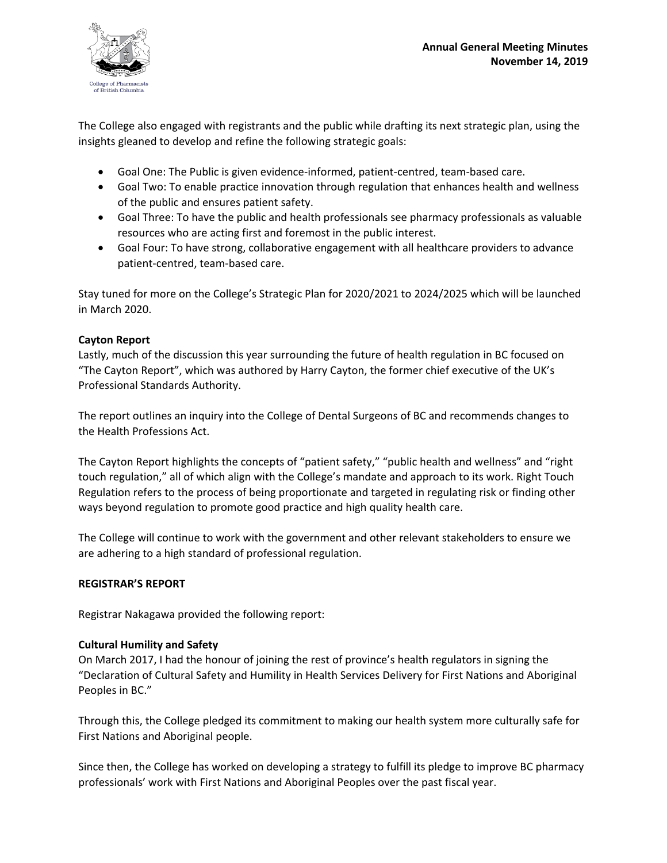

The College also engaged with registrants and the public while drafting its next strategic plan, using the insights gleaned to develop and refine the following strategic goals:

- Goal One: The Public is given evidence-informed, patient-centred, team-based care.
- Goal Two: To enable practice innovation through regulation that enhances health and wellness of the public and ensures patient safety.
- Goal Three: To have the public and health professionals see pharmacy professionals as valuable resources who are acting first and foremost in the public interest.
- Goal Four: To have strong, collaborative engagement with all healthcare providers to advance patient-centred, team-based care.

Stay tuned for more on the College's Strategic Plan for 2020/2021 to 2024/2025 which will be launched in March 2020.

# **Cayton Report**

Lastly, much of the discussion this year surrounding the future of health regulation in BC focused on "The Cayton Report", which was authored by Harry Cayton, the former chief executive of the UK's Professional Standards Authority.

The report outlines an inquiry into the College of Dental Surgeons of BC and recommends changes to the Health Professions Act.

The Cayton Report highlights the concepts of "patient safety," "public health and wellness" and "right touch regulation," all of which align with the College's mandate and approach to its work. Right Touch Regulation refers to the process of being proportionate and targeted in regulating risk or finding other ways beyond regulation to promote good practice and high quality health care.

The College will continue to work with the government and other relevant stakeholders to ensure we are adhering to a high standard of professional regulation.

# **REGISTRAR'S REPORT**

Registrar Nakagawa provided the following report:

# **Cultural Humility and Safety**

On March 2017, I had the honour of joining the rest of province's health regulators in signing the "Declaration of Cultural Safety and Humility in Health Services Delivery for First Nations and Aboriginal Peoples in BC."

Through this, the College pledged its commitment to making our health system more culturally safe for First Nations and Aboriginal people.

Since then, the College has worked on developing a strategy to fulfill its pledge to improve BC pharmacy professionals' work with First Nations and Aboriginal Peoples over the past fiscal year.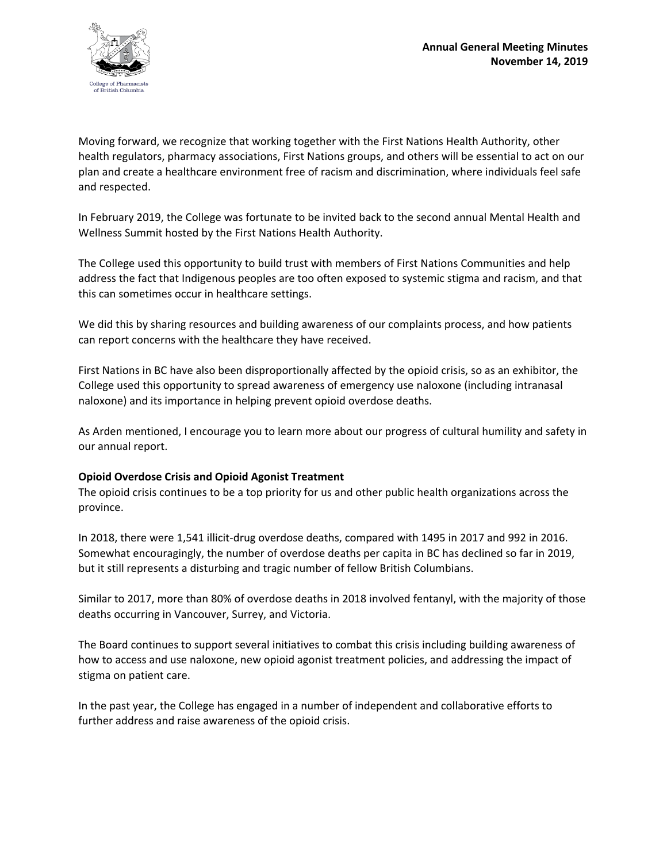

Moving forward, we recognize that working together with the First Nations Health Authority, other health regulators, pharmacy associations, First Nations groups, and others will be essential to act on our plan and create a healthcare environment free of racism and discrimination, where individuals feel safe and respected.

In February 2019, the College was fortunate to be invited back to the second annual Mental Health and Wellness Summit hosted by the First Nations Health Authority.

The College used this opportunity to build trust with members of First Nations Communities and help address the fact that Indigenous peoples are too often exposed to systemic stigma and racism, and that this can sometimes occur in healthcare settings.

We did this by sharing resources and building awareness of our complaints process, and how patients can report concerns with the healthcare they have received.

First Nations in BC have also been disproportionally affected by the opioid crisis, so as an exhibitor, the College used this opportunity to spread awareness of emergency use naloxone (including intranasal naloxone) and its importance in helping prevent opioid overdose deaths.

As Arden mentioned, I encourage you to learn more about our progress of cultural humility and safety in our annual report.

### **Opioid Overdose Crisis and Opioid Agonist Treatment**

The opioid crisis continues to be a top priority for us and other public health organizations across the province.

In 2018, there were 1,541 illicit-drug overdose deaths, compared with 1495 in 2017 and 992 in 2016. Somewhat encouragingly, the number of overdose deaths per capita in BC has declined so far in 2019, but it still represents a disturbing and tragic number of fellow British Columbians.

Similar to 2017, more than 80% of overdose deaths in 2018 involved fentanyl, with the majority of those deaths occurring in Vancouver, Surrey, and Victoria.

The Board continues to support several initiatives to combat this crisis including building awareness of how to access and use naloxone, new opioid agonist treatment policies, and addressing the impact of stigma on patient care.

In the past year, the College has engaged in a number of independent and collaborative efforts to further address and raise awareness of the opioid crisis.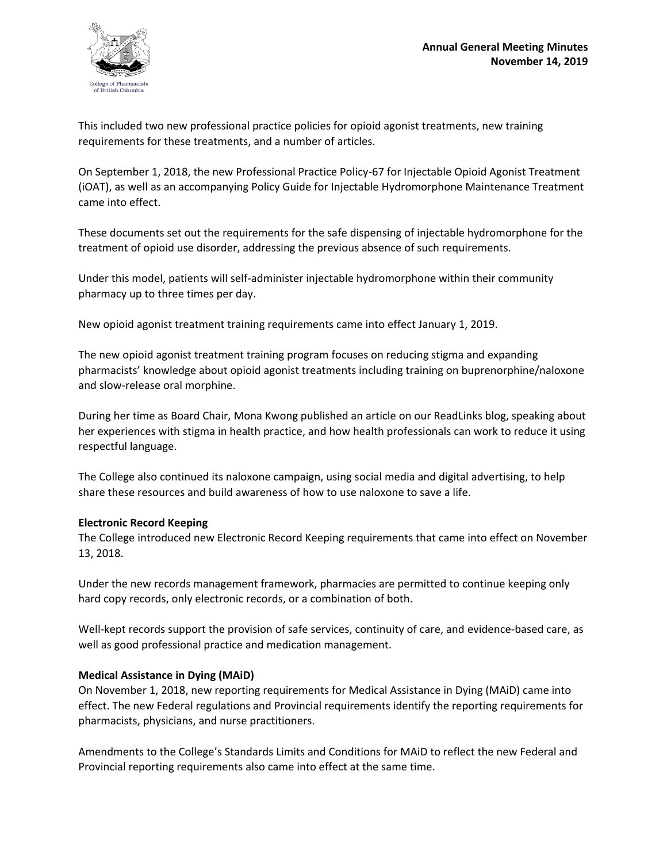

This included two new professional practice policies for opioid agonist treatments, new training requirements for these treatments, and a number of articles.

On September 1, 2018, the new Professional Practice Policy-67 for Injectable Opioid Agonist Treatment (iOAT), as well as an accompanying Policy Guide for Injectable Hydromorphone Maintenance Treatment came into effect.

These documents set out the requirements for the safe dispensing of injectable hydromorphone for the treatment of opioid use disorder, addressing the previous absence of such requirements.

Under this model, patients will self-administer injectable hydromorphone within their community pharmacy up to three times per day.

New opioid agonist treatment training requirements came into effect January 1, 2019.

The new opioid agonist treatment training program focuses on reducing stigma and expanding pharmacists' knowledge about opioid agonist treatments including training on buprenorphine/naloxone and slow-release oral morphine.

During her time as Board Chair, Mona Kwong published an article on our ReadLinks blog, speaking about her experiences with stigma in health practice, and how health professionals can work to reduce it using respectful language.

The College also continued its naloxone campaign, using social media and digital advertising, to help share these resources and build awareness of how to use naloxone to save a life.

### **Electronic Record Keeping**

The College introduced new Electronic Record Keeping requirements that came into effect on November 13, 2018.

Under the new records management framework, pharmacies are permitted to continue keeping only hard copy records, only electronic records, or a combination of both.

Well-kept records support the provision of safe services, continuity of care, and evidence-based care, as well as good professional practice and medication management.

# **Medical Assistance in Dying (MAiD)**

On November 1, 2018, new reporting requirements for Medical Assistance in Dying (MAiD) came into effect. The new Federal regulations and Provincial requirements identify the reporting requirements for pharmacists, physicians, and nurse practitioners.

Amendments to the College's Standards Limits and Conditions for MAiD to reflect the new Federal and Provincial reporting requirements also came into effect at the same time.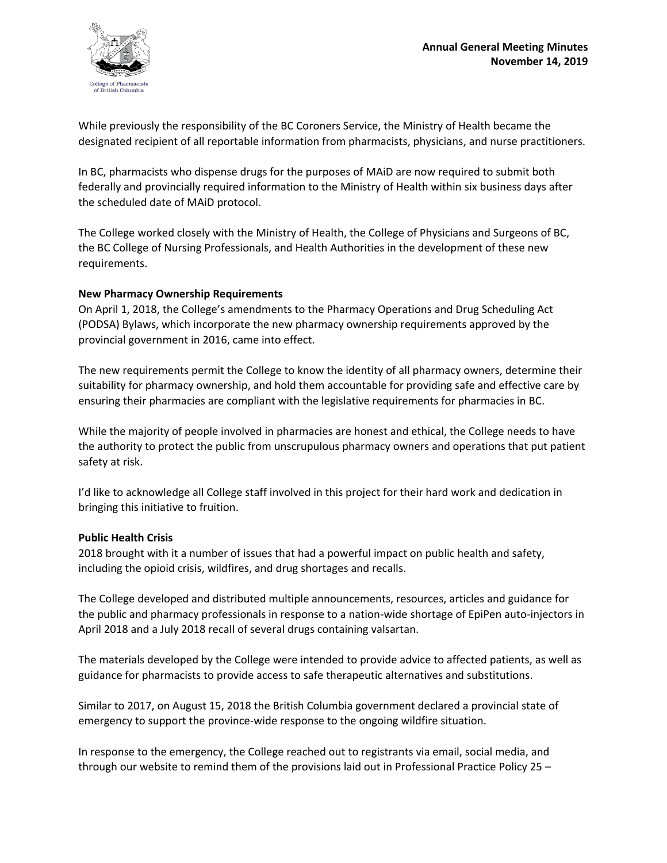

While previously the responsibility of the BC Coroners Service, the Ministry of Health became the designated recipient of all reportable information from pharmacists, physicians, and nurse practitioners.

In BC, pharmacists who dispense drugs for the purposes of MAiD are now required to submit both federally and provincially required information to the Ministry of Health within six business days after the scheduled date of MAiD protocol.

The College worked closely with the Ministry of Health, the College of Physicians and Surgeons of BC, the BC College of Nursing Professionals, and Health Authorities in the development of these new requirements.

### **New Pharmacy Ownership Requirements**

On April 1, 2018, the College's amendments to the Pharmacy Operations and Drug Scheduling Act (PODSA) Bylaws, which incorporate the new pharmacy ownership requirements approved by the provincial government in 2016, came into effect.

The new requirements permit the College to know the identity of all pharmacy owners, determine their suitability for pharmacy ownership, and hold them accountable for providing safe and effective care by ensuring their pharmacies are compliant with the legislative requirements for pharmacies in BC.

While the majority of people involved in pharmacies are honest and ethical, the College needs to have the authority to protect the public from unscrupulous pharmacy owners and operations that put patient safety at risk.

I'd like to acknowledge all College staff involved in this project for their hard work and dedication in bringing this initiative to fruition.

### **Public Health Crisis**

2018 brought with it a number of issues that had a powerful impact on public health and safety, including the opioid crisis, wildfires, and drug shortages and recalls.

The College developed and distributed multiple announcements, resources, articles and guidance for the public and pharmacy professionals in response to a nation-wide shortage of EpiPen auto-injectors in April 2018 and a July 2018 recall of several drugs containing valsartan.

The materials developed by the College were intended to provide advice to affected patients, as well as guidance for pharmacists to provide access to safe therapeutic alternatives and substitutions.

Similar to 2017, on August 15, 2018 the British Columbia government declared a provincial state of emergency to support the province-wide response to the ongoing wildfire situation.

In response to the emergency, the College reached out to registrants via email, social media, and through our website to remind them of the provisions laid out in Professional Practice Policy 25 –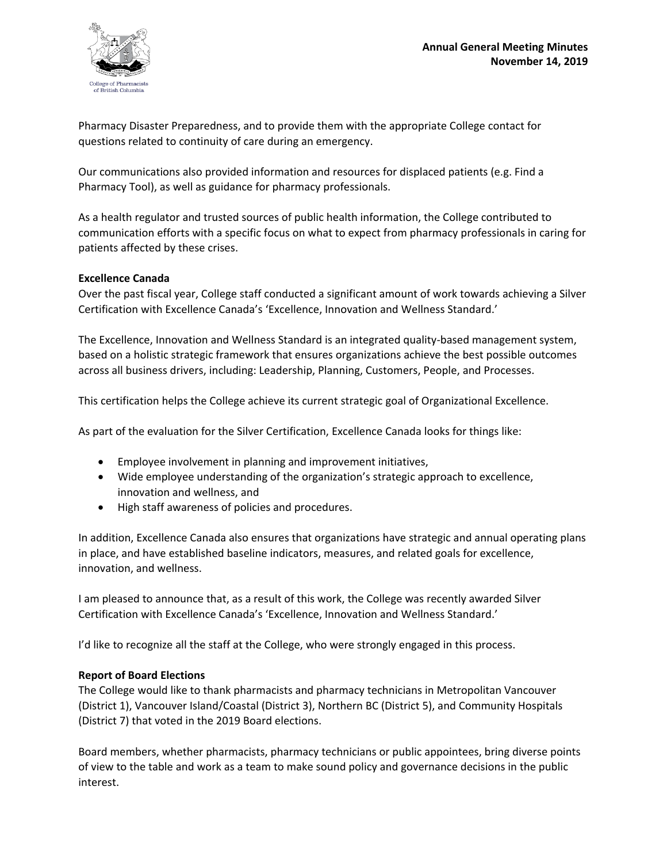

Pharmacy Disaster Preparedness, and to provide them with the appropriate College contact for questions related to continuity of care during an emergency.

Our communications also provided information and resources for displaced patients (e.g. Find a Pharmacy Tool), as well as guidance for pharmacy professionals.

As a health regulator and trusted sources of public health information, the College contributed to communication efforts with a specific focus on what to expect from pharmacy professionals in caring for patients affected by these crises.

### **Excellence Canada**

Over the past fiscal year, College staff conducted a significant amount of work towards achieving a Silver Certification with Excellence Canada's 'Excellence, Innovation and Wellness Standard.'

The Excellence, Innovation and Wellness Standard is an integrated quality-based management system, based on a holistic strategic framework that ensures organizations achieve the best possible outcomes across all business drivers, including: Leadership, Planning, Customers, People, and Processes.

This certification helps the College achieve its current strategic goal of Organizational Excellence.

As part of the evaluation for the Silver Certification, Excellence Canada looks for things like:

- Employee involvement in planning and improvement initiatives,
- Wide employee understanding of the organization's strategic approach to excellence, innovation and wellness, and
- High staff awareness of policies and procedures.

In addition, Excellence Canada also ensures that organizations have strategic and annual operating plans in place, and have established baseline indicators, measures, and related goals for excellence, innovation, and wellness.

I am pleased to announce that, as a result of this work, the College was recently awarded Silver Certification with Excellence Canada's 'Excellence, Innovation and Wellness Standard.'

I'd like to recognize all the staff at the College, who were strongly engaged in this process.

### **Report of Board Elections**

The College would like to thank pharmacists and pharmacy technicians in Metropolitan Vancouver (District 1), Vancouver Island/Coastal (District 3), Northern BC (District 5), and Community Hospitals (District 7) that voted in the 2019 Board elections.

Board members, whether pharmacists, pharmacy technicians or public appointees, bring diverse points of view to the table and work as a team to make sound policy and governance decisions in the public interest.